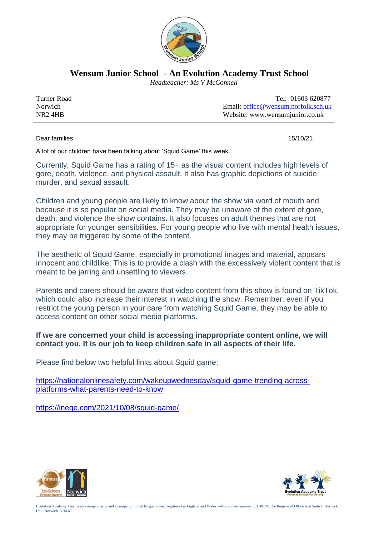

**Wensum Junior School - An Evolution Academy Trust School**

 *Headteacher: Ms V McConnell*

| Turner Road | Tel: 01603 620877                   |
|-------------|-------------------------------------|
| Norwich     | Email: office@wensum.norfolk.sch.uk |
| NR24HB      | Website: www.wensumjunior.co.uk     |

Dear families, 15/10/21

A lot of our children have been talking about 'Squid Game' this week.

Currently, Squid Game has a rating of 15+ as the visual content includes high levels of gore, death, violence, and physical assault. It also has graphic depictions of suicide, murder, and sexual assault.

Children and young people are likely to know about the show via word of mouth and because it is so popular on social media. They may be unaware of the extent of gore, death, and violence the show contains. It also focuses on adult themes that are not appropriate for younger sensibilities. For young people who live with mental health issues, they may be triggered by some of the content.

The aesthetic of Squid Game, especially in promotional images and material, appears innocent and childlike. This is to provide a clash with the excessively violent content that is meant to be jarring and unsettling to viewers.

Parents and carers should be aware that video content from this show is found on TikTok, which could also increase their interest in watching the show. Remember: even if you restrict the young person in your care from watching Squid Game, they may be able to access content on other social media platforms.

## **If we are concerned your child is accessing inappropriate content online, we will contact you. It is our job to keep children safe in all aspects of their life.**

Please find below two helpful links about Squid game:

[https://nationalonlinesafety.com/wakeupwednesday/squid-game-trending-across](https://nationalonlinesafety.com/wakeupwednesday/squid-game-trending-across-platforms-what-parents-need-to-know)[platforms-what-parents-need-to-know](https://nationalonlinesafety.com/wakeupwednesday/squid-game-trending-across-platforms-what-parents-need-to-know)

<https://ineqe.com/2021/10/08/squid-game/>